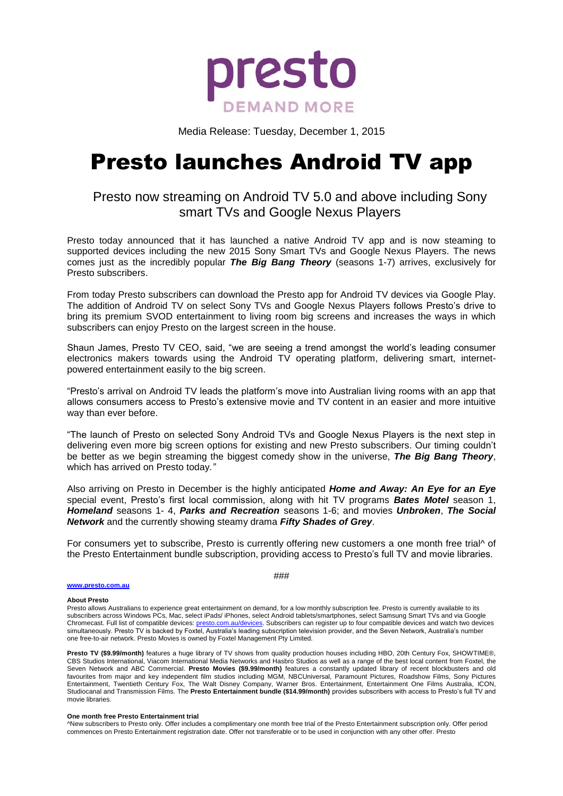

Media Release: Tuesday, December 1, 2015

# Presto launches Android TV app

# Presto now streaming on Android TV 5.0 and above including Sony smart TVs and Google Nexus Players

Presto today announced that it has launched a native Android TV app and is now steaming to supported devices including the new 2015 Sony Smart TVs and Google Nexus Players. The news comes just as the incredibly popular *The Big Bang Theory* (seasons 1-7) arrives, exclusively for Presto subscribers.

From today Presto subscribers can download the Presto app for Android TV devices via Google Play. The addition of Android TV on select Sony TVs and Google Nexus Players follows Presto's drive to bring its premium SVOD entertainment to living room big screens and increases the ways in which subscribers can enjoy Presto on the largest screen in the house.

Shaun James, Presto TV CEO, said, "we are seeing a trend amongst the world's leading consumer electronics makers towards using the Android TV operating platform, delivering smart, internetpowered entertainment easily to the big screen.

"Presto's arrival on Android TV leads the platform's move into Australian living rooms with an app that allows consumers access to Presto's extensive movie and TV content in an easier and more intuitive way than ever before.

"The launch of Presto on selected Sony Android TVs and Google Nexus Players is the next step in delivering even more big screen options for existing and new Presto subscribers. Our timing couldn't be better as we begin streaming the biggest comedy show in the universe, *The Big Bang Theory*, which has arrived on Presto today*."*

Also arriving on Presto in December is the highly anticipated *Home and Away: An Eye for an Eye* special event, Presto's first local commission, along with hit TV programs *Bates Motel* season 1, *Homeland* seasons 1- 4, *Parks and Recreation* seasons 1-6; and movies *Unbroken*, *The Social Network* and the currently showing steamy drama *Fifty Shades of Grey*.

For consumers yet to subscribe, Presto is currently offering new customers a one month free trial<sup>A</sup> of the Presto Entertainment bundle subscription, providing access to Presto's full TV and movie libraries.

### **[www.presto.com.au](http://www.presto.com.au/)**

###

# **About Presto**

Presto allows Australians to experience great entertainment on demand, for a low monthly subscription fee. Presto is currently available to its subscribers across Windows PCs, Mac, select iPads/ iPhones, select Android tablets/smartphones, select Samsung Smart TVs and via Google Chromecast. Full list of compatible devices[: presto.com.au/devices.](http://presto.com.au/devices) Subscribers can register up to four compatible devices and watch two devices simultaneously. Presto TV is backed by Foxtel, Australia's leading subscription television provider, and the Seven Network, Australia's number one free-to-air network. Presto Movies is owned by Foxtel Management Pty Limited.

**Presto TV (\$9.99/month)** features a huge library of TV shows from quality production houses including HBO, 20th Century Fox, SHOWTIME®, CBS Studios International, Viacom International Media Networks and Hasbro Studios as well as a range of the best local content from Foxtel, the Seven Network and ABC Commercial. **Presto Movies (\$9.99/month)** features a constantly updated library of recent blockbusters and old favourites from major and key independent film studios including MGM, NBCUniversal, Paramount Pictures, Roadshow Films, Sony Pictures Entertainment, Twentieth Century Fox, The Walt Disney Company, Warner Bros. Entertainment, Entertainment One Films Australia, Studiocanal and Transmission Films. The **Presto Entertainment bundle (\$14.99/month)** provides subscribers with access to Presto's full TV and movie libraries.

#### **One month free Presto Entertainment trial**

^New subscribers to Presto only. Offer includes a complimentary one month free trial of the Presto Entertainment subscription only. Offer period commences on Presto Entertainment registration date. Offer not transferable or to be used in conjunction with any other offer. Presto